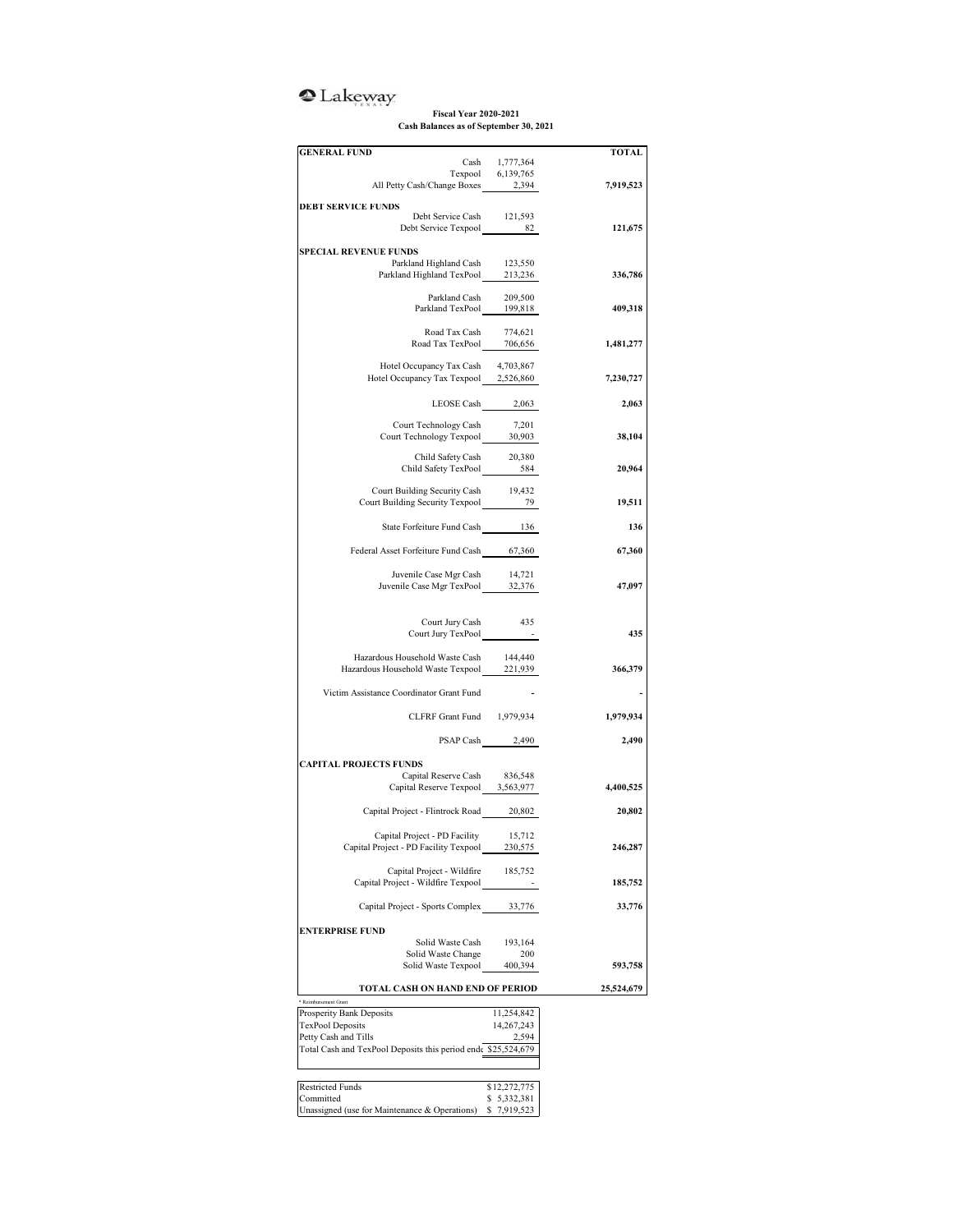## <sup>2</sup>Lakeway

## **Fiscal Year 2020-2021 Cash Balances as of September 30, 2021**

| <b>GENERAL FUND</b>                                                                                                                                                                          |                             | TOTAL      |
|----------------------------------------------------------------------------------------------------------------------------------------------------------------------------------------------|-----------------------------|------------|
| $\begin{tabular}{cc} Cash & 1,777,364 \\ Texpool & 6,139,765 \\ All Petty Cash/Change Boxes & 2,394 \\ \end{tabular}$                                                                        |                             |            |
|                                                                                                                                                                                              |                             | 7,919,523  |
|                                                                                                                                                                                              |                             |            |
| <b>DEBT SERVICE FUNDS</b><br>Debt Service Cash 121,593                                                                                                                                       |                             |            |
| Debt Service Texpool 82                                                                                                                                                                      |                             | 121,675    |
|                                                                                                                                                                                              |                             |            |
| <b>SPECIAL REVENUE FUNDS</b>                                                                                                                                                                 |                             |            |
| Parkland Highland Cash 123,550<br>Parkland Highland TexPool 213,236                                                                                                                          |                             | 336,786    |
|                                                                                                                                                                                              |                             |            |
| $\begin{tabular}{lcl} \multicolumn{2}{c}{\textbf{Parkland Cash}} & \multicolumn{2}{c}{209,500} \\ \multicolumn{2}{c}{\textbf{Parkland TexPool}} & \multicolumn{2}{c}{199,818} \end{tabular}$ |                             |            |
|                                                                                                                                                                                              |                             | 409,318    |
|                                                                                                                                                                                              |                             |            |
| Road Tax Cash 774,621<br>Road Tax TexPool 706,656                                                                                                                                            |                             | 1,481,277  |
|                                                                                                                                                                                              |                             |            |
| Hotel Occupancy Tax Cash<br>Hotel Occupancy Tax Texpool 2,526,860                                                                                                                            | 4,703,867                   | 7,230,727  |
|                                                                                                                                                                                              |                             |            |
| LEOSE Cash 2,063                                                                                                                                                                             |                             | 2,063      |
|                                                                                                                                                                                              |                             |            |
| Court Technology Cash<br>Court Technology Cash 7,201<br>Court Technology Texpool 30,903                                                                                                      | 7,201                       |            |
|                                                                                                                                                                                              |                             | 38,104     |
| Child Safety Cash 20,380<br>Child Safety TexPool 584                                                                                                                                         |                             |            |
|                                                                                                                                                                                              |                             | 20,964     |
|                                                                                                                                                                                              |                             |            |
| Court Building Security Cash 19,432<br>Court Building Security Texpool 79                                                                                                                    |                             | 19,511     |
|                                                                                                                                                                                              |                             |            |
| State Forfeiture Fund Cash 136                                                                                                                                                               |                             | 136        |
|                                                                                                                                                                                              |                             | 67,360     |
| Federal Asset Forfeiture Fund Cash 67,360                                                                                                                                                    |                             |            |
|                                                                                                                                                                                              |                             |            |
| Juvenile Case Mgr Cash 14,721<br>Juvenile Case Mgr TexPool 32,376                                                                                                                            |                             | 47,097     |
|                                                                                                                                                                                              |                             |            |
|                                                                                                                                                                                              |                             |            |
| Court Jury Cash 435<br>Court Jury TexPool                                                                                                                                                    | $\sim 100$                  | 435        |
|                                                                                                                                                                                              |                             |            |
| Hazardous Household Waste Cash                                                                                                                                                               | 144,440                     |            |
| Hazardous Household Waste Texpool 221,939                                                                                                                                                    |                             | 366,379    |
| Victim Assistance Coordinator Grant Fund                                                                                                                                                     |                             |            |
|                                                                                                                                                                                              |                             |            |
| CLFRF Grant Fund 1,979,934                                                                                                                                                                   |                             | 1,979,934  |
|                                                                                                                                                                                              |                             |            |
| PSAP Cash 2,490                                                                                                                                                                              |                             | 2,490      |
| <b>CAPITAL PROJECTS FUNDS</b>                                                                                                                                                                |                             |            |
| Capital Reserve Cash                                                                                                                                                                         | 836,548                     |            |
| Capital Reserve Texpool 3,563,977                                                                                                                                                            |                             | 4,400,525  |
|                                                                                                                                                                                              |                             |            |
| Capital Project - Flintrock Road 20,802                                                                                                                                                      |                             | 20,802     |
| Capital Project - PD Facility                                                                                                                                                                | 15,712                      |            |
| Capital Project - PD Facility Texpool                                                                                                                                                        | 230,575                     | 246,287    |
|                                                                                                                                                                                              |                             |            |
| Capital Project - Wildfire                                                                                                                                                                   | 185,752                     |            |
| Capital Project - Wildfire Texpool                                                                                                                                                           |                             | 185,752    |
| Capital Project - Sports Complex                                                                                                                                                             | 33,776                      | 33,776     |
|                                                                                                                                                                                              |                             |            |
| <b>ENTERPRISE FUND</b>                                                                                                                                                                       |                             |            |
| Solid Waste Cash                                                                                                                                                                             | 193,164                     |            |
| Solid Waste Change<br>Solid Waste Texpool                                                                                                                                                    | 200<br>400,394              | 593,758    |
|                                                                                                                                                                                              |                             |            |
| TOTAL CASH ON HAND END OF PERIOD                                                                                                                                                             |                             | 25,524,679 |
| * Reimbursement Grant                                                                                                                                                                        |                             |            |
| Prosperity Bank Deposits                                                                                                                                                                     | 11,254,842                  |            |
| <b>TexPool Deposits</b>                                                                                                                                                                      | 14,267,243                  |            |
| Petty Cash and Tills                                                                                                                                                                         | 2,594                       |            |
| Total Cash and TexPool Deposits this period end \$25,524,679                                                                                                                                 |                             |            |
|                                                                                                                                                                                              |                             |            |
|                                                                                                                                                                                              |                             |            |
|                                                                                                                                                                                              |                             |            |
| <b>Restricted Funds</b><br>Committed                                                                                                                                                         | \$12,272,775<br>\$5,332,381 |            |